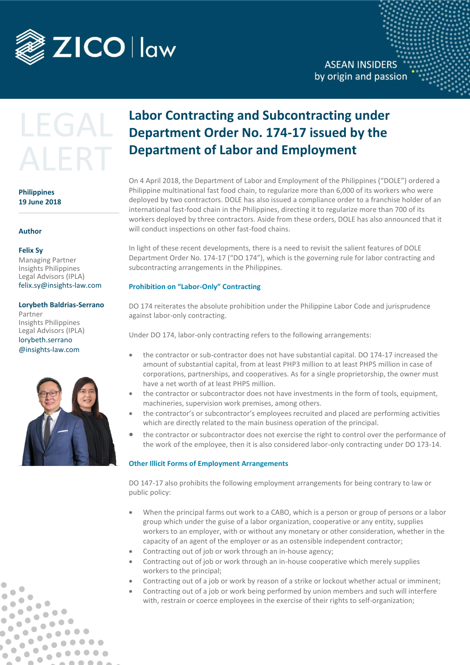

# LEGAL ALERT

### **Philippines 19 June 2018**

#### **Author**

#### **Felix Sy**

 $\bullet$ 

 $\bullet$ 

 $\bullet$ Ô

> $\bullet$  $\bullet$

 $\bullet$ b

 $\bullet$  $\bullet$ 

 $\overline{\phantom{a}}$ 

 $\bullet$ 

 $\blacksquare$  $\bullet$ 

 $\blacksquare$ 

 $\bullet$ 

 $\bullet$ 

 $\bullet\bullet\bullet$ 

 $\bullet$   $\bullet$ 

 $\bullet$   $\bullet$ 

Managing Partner Insights Philippines Legal Advisors (IPLA) [felix.sy@insights-law.com](mailto:felix.sy@insights-law.com) 

#### **Lorybeth Baldrias-Serrano**

Partner Insights Philippines Legal Advisors (IPLA) lorybeth.serrano @insights-law.com



## **Labor Contracting and Subcontracting under Department Order No. 174-17 issued by the Department of Labor and Employment**

On 4 April 2018, the Department of Labor and Employment of the Philippines ("DOLE") ordered a Philippine multinational fast food chain, to regularize more than 6,000 of its workers who were deployed by two contractors. DOLE has also issued a compliance order to a franchise holder of an international fast-food chain in the Philippines, directing it to regularize more than 700 of its workers deployed by three contractors. Aside from these orders, DOLE has also announced that it will conduct inspections on other fast-food chains.

In light of these recent developments, there is a need to revisit the salient features of DOLE Department Order No. 174-17 ("DO 174"), which is the governing rule for labor contracting and subcontracting arrangements in the Philippines.

#### **Prohibition on "Labor-Only" Contracting**

DO 174 reiterates the absolute prohibition under the Philippine Labor Code and jurisprudence against labor-only contracting.

Under DO 174, labor-only contracting refers to the following arrangements:

- the contractor or sub-contractor does not have substantial capital. DO 174-17 increased the amount of substantial capital, from at least PHP3 million to at least PHP5 million in case of corporations, partnerships, and cooperatives. As for a single proprietorship, the owner must have a net worth of at least PHP5 million.
- the contractor or subcontractor does not have investments in the form of tools, equipment, machineries, supervision work premises, among others.
- the contractor's or subcontractor's employees recruited and placed are performing activities which are directly related to the main business operation of the principal.
- the contractor or subcontractor does not exercise the right to control over the performance of the work of the employee, then it is also considered labor-only contracting under DO 173-14.

#### **Other Illicit Forms of Employment Arrangements**

DO 147-17 also prohibits the following employment arrangements for being contrary to law or public policy:

- When the principal farms out work to a CABO, which is a person or group of persons or a labor group which under the guise of a labor organization, cooperative or any entity, supplies workers to an employer, with or without any monetary or other consideration, whether in the capacity of an agent of the employer or as an ostensible independent contractor;
- Contracting out of job or work through an in-house agency;
- Contracting out of job or work through an in-house cooperative which merely supplies workers to the principal;
- Contracting out of a job or work by reason of a strike or lockout whether actual or imminent;
- Contracting out of a job or work being performed by union members and such will interfere with, restrain or coerce employees in the exercise of their rights to self-organization;